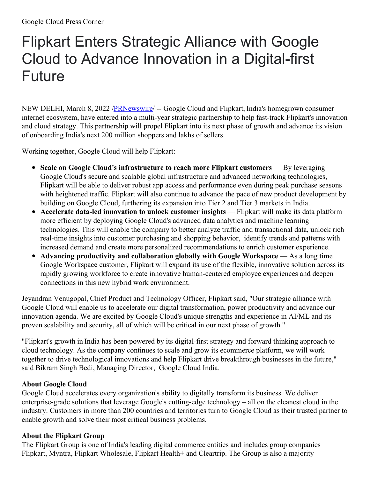## Flipkart Enters Strategic Alliance with Google Cloud to Advance Innovation in a Digital-first Future

NEW DELHI, March 8, 2022 [/PRNewswire](http://www.prnewswire.com/)/ -- Google Cloud and Flipkart, India's homegrown consumer internet ecosystem, have entered into a multi-year strategic partnership to help fast-track Flipkart's innovation and cloud strategy. This partnership will propel Flipkart into its next phase of growth and advance its vision of onboarding India's next 200 million shoppers and lakhs of sellers.

Working together, Google Cloud will help Flipkart:

- **Scale on Google Cloud's infrastructure to reach more Flipkart customers** By leveraging Google Cloud's secure and scalable global infrastructure and advanced networking technologies, Flipkart will be able to deliver robust app access and performance even during peak purchase seasons with heightened traffic. Flipkart will also continue to advance the pace of new product development by building on Google Cloud, furthering its expansion into Tier 2 and Tier 3 markets in India.
- **Accelerate data-led innovation to unlock customer insights** Flipkart will make its data platform more efficient by deploying Google Cloud's advanced data analytics and machine learning technologies. This will enable the company to better analyze traffic and transactional data, unlock rich real-time insights into customer purchasing and shopping behavior, identify trends and patterns with increased demand and create more personalized recommendations to enrich customer experience.
- **Advancing productivity and collaboration globally with Google Workspace** As a long time Google Workspace customer, Flipkart will expand its use of the flexible, innovative solution across its rapidly growing workforce to create innovative human-centered employee experiences and deepen connections in this new hybrid work environment.

Jeyandran Venugopal, Chief Product and Technology Officer, Flipkart said, "Our strategic alliance with Google Cloud will enable us to accelerate our digital transformation, power productivity and advance our innovation agenda. We are excited by Google Cloud's unique strengths and experience in AI/ML and its proven scalability and security, all of which will be critical in our next phase of growth."

"Flipkart's growth in India has been powered by its digital-first strategy and forward thinking approach to cloud technology. As the company continues to scale and grow its ecommerce platform, we will work together to drive technological innovations and help Flipkart drive breakthrough businesses in the future," said Bikram Singh Bedi, Managing Director, Google Cloud India.

## **About Google Cloud**

Google Cloud accelerates every organization's ability to digitally transform its business. We deliver enterprise-grade solutions that leverage Google's cutting-edge technology – all on the cleanest cloud in the industry. Customers in more than 200 countries and territories turn to Google Cloud as their trusted partner to enable growth and solve their most critical business problems.

## **About the Flipkart Group**

The Flipkart Group is one of India's leading digital commerce entities and includes group companies Flipkart, Myntra, Flipkart Wholesale, Flipkart Health+ and Cleartrip. The Group is also a majority